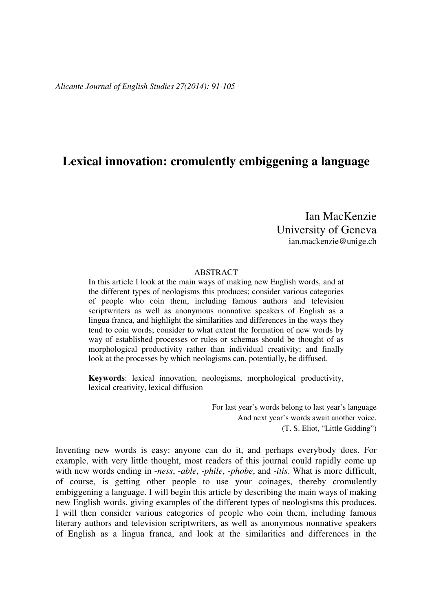# **Lexical innovation: cromulently embiggening a language**

Ian MacKenzie University of Geneva ian.mackenzie@unige.ch

#### ABSTRACT

In this article I look at the main ways of making new English words, and at the different types of neologisms this produces; consider various categories of people who coin them, including famous authors and television scriptwriters as well as anonymous nonnative speakers of English as a lingua franca, and highlight the similarities and differences in the ways they tend to coin words; consider to what extent the formation of new words by way of established processes or rules or schemas should be thought of as morphological productivity rather than individual creativity; and finally look at the processes by which neologisms can, potentially, be diffused.

**Keywords**: lexical innovation, neologisms, morphological productivity, lexical creativity, lexical diffusion

> For last year's words belong to last year's language And next year's words await another voice. (T. S. Eliot, "Little Gidding")

Inventing new words is easy: anyone can do it, and perhaps everybody does. For example, with very little thought, most readers of this journal could rapidly come up with new words ending in -*ness*, -*able*, -*phile*, -*phobe*, and -*itis*. What is more difficult, of course, is getting other people to use your coinages, thereby cromulently embiggening a language. I will begin this article by describing the main ways of making new English words, giving examples of the different types of neologisms this produces. I will then consider various categories of people who coin them, including famous literary authors and television scriptwriters, as well as anonymous nonnative speakers of English as a lingua franca, and look at the similarities and differences in the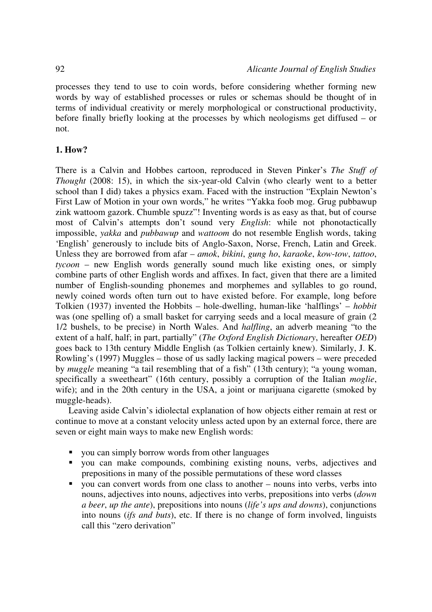processes they tend to use to coin words, before considering whether forming new words by way of established processes or rules or schemas should be thought of in terms of individual creativity or merely morphological or constructional productivity, before finally briefly looking at the processes by which neologisms get diffused – or not.

## **1. How?**

There is a Calvin and Hobbes cartoon, reproduced in Steven Pinker's *The Stuff of Thought* (2008: 15), in which the six-year-old Calvin (who clearly went to a better school than I did) takes a physics exam. Faced with the instruction "Explain Newton's First Law of Motion in your own words," he writes "Yakka foob mog. Grug pubbawup zink wattoom gazork. Chumble spuzz"! Inventing words is as easy as that, but of course most of Calvin's attempts don't sound very *English*: while not phonotactically impossible, *yakka* and *pubbawup* and *wattoom* do not resemble English words, taking 'English' generously to include bits of Anglo-Saxon, Norse, French, Latin and Greek. Unless they are borrowed from afar – *amok*, *bikini*, *gung ho*, *karaoke*, *kow*-*tow*, *tattoo*, *tycoon* – new English words generally sound much like existing ones, or simply combine parts of other English words and affixes. In fact, given that there are a limited number of English-sounding phonemes and morphemes and syllables to go round, newly coined words often turn out to have existed before. For example, long before Tolkien (1937) invented the Hobbits – hole-dwelling, human-like 'halflings' – *hobbit* was (one spelling of) a small basket for carrying seeds and a local measure of grain (2 1/2 bushels, to be precise) in North Wales. And *halfling*, an adverb meaning "to the extent of a half, half; in part, partially" (*The Oxford English Dictionary*, hereafter *OED*) goes back to 13th century Middle English (as Tolkien certainly knew). Similarly, J. K. Rowling's (1997) Muggles – those of us sadly lacking magical powers – were preceded by *muggle* meaning "a tail resembling that of a fish" (13th century); "a young woman, specifically a sweetheart" (16th century, possibly a corruption of the Italian *moglie*, wife); and in the 20th century in the USA, a joint or marijuana cigarette (smoked by muggle-heads).

Leaving aside Calvin's idiolectal explanation of how objects either remain at rest or continue to move at a constant velocity unless acted upon by an external force, there are seven or eight main ways to make new English words:

- you can simply borrow words from other languages
- you can make compounds, combining existing nouns, verbs, adjectives and prepositions in many of the possible permutations of these word classes
- you can convert words from one class to another nouns into verbs, verbs into nouns, adjectives into nouns, adjectives into verbs, prepositions into verbs (*down a beer*, *up the ante*), prepositions into nouns (*life's ups and downs*), conjunctions into nouns (*ifs and buts*), etc. If there is no change of form involved, linguists call this "zero derivation"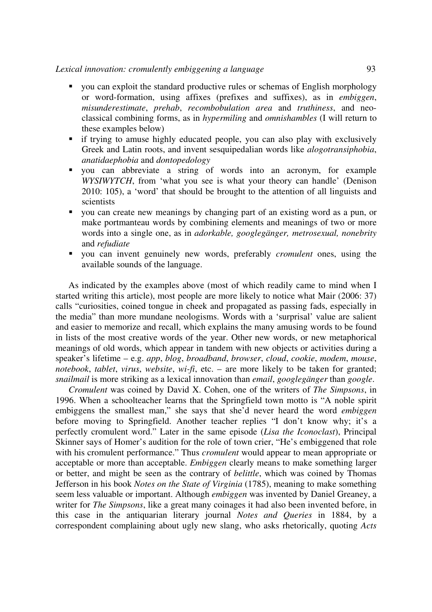#### *Lexical innovation: cromulently embiggening a language* 93

- you can exploit the standard productive rules or schemas of English morphology or word-formation, using affixes (prefixes and suffixes), as in *embiggen*, *misunderestimate*, *prehab*, *recombobulation area* and *truthiness*, and neoclassical combining forms, as in *hypermiling* and *omnishambles* (I will return to these examples below)
- if trying to amuse highly educated people, you can also play with exclusively Greek and Latin roots, and invent sesquipedalian words like *alogotransiphobia*, *anatidaephobia* and *dontopedology*
- you can abbreviate a string of words into an acronym, for example *WYSIWYTCH*, from 'what you see is what your theory can handle' (Denison 2010: 105), a 'word' that should be brought to the attention of all linguists and scientists
- you can create new meanings by changing part of an existing word as a pun, or make portmanteau words by combining elements and meanings of two or more words into a single one, as in *adorkable, googlegänger, metrosexual, nonebrity*  and *refudiate*
- you can invent genuinely new words, preferably *cromulent* ones, using the available sounds of the language.

As indicated by the examples above (most of which readily came to mind when I started writing this article), most people are more likely to notice what Mair (2006: 37) calls "curiosities, coined tongue in cheek and propagated as passing fads, especially in the media" than more mundane neologisms. Words with a 'surprisal' value are salient and easier to memorize and recall, which explains the many amusing words to be found in lists of the most creative words of the year. Other new words, or new metaphorical meanings of old words, which appear in tandem with new objects or activities during a speaker's lifetime – e.g. *app*, *blog*, *broadband*, *browser*, *cloud*, *cookie*, *modem*, *mouse*, *notebook*, *tablet*, *virus*, *website*, *wi-fi*, etc. – are more likely to be taken for granted; *snailmail* is more striking as a lexical innovation than *email*, *googlegänger* than *google*.

*Cromulent* was coined by David X. Cohen, one of the writers of *The Simpsons*, in 1996. When a schoolteacher learns that the Springfield town motto is "A noble spirit embiggens the smallest man," she says that she'd never heard the word *embiggen* before moving to Springfield. Another teacher replies "I don't know why; it's a perfectly cromulent word." Later in the same episode (*Lisa the Iconoclast*), Principal Skinner says of Homer's audition for the role of town crier, "He's embiggened that role with his cromulent performance." Thus *cromulent* would appear to mean appropriate or acceptable or more than acceptable. *Embiggen* clearly means to make something larger or better, and might be seen as the contrary of *belittle*, which was coined by Thomas Jefferson in his book *Notes on the State of Virginia* (1785), meaning to make something seem less valuable or important. Although *embiggen* was invented by Daniel Greaney, a writer for *The Simpsons*, like a great many coinages it had also been invented before, in this case in the antiquarian literary journal *Notes and Queries* in 1884, by a correspondent complaining about ugly new slang, who asks rhetorically, quoting *Acts*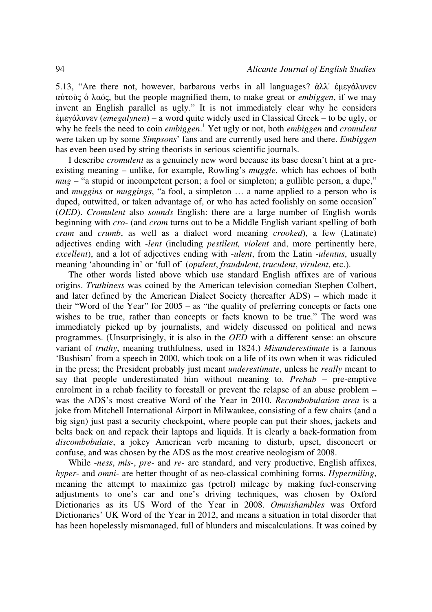5.13, "Are there not, however, barbarous verbs in all languages? ἀλλ' ἐµεγάλυνεν αὐτοὺς ὁ λαός, but the people magnified them, to make great or *embiggen*, if we may invent an English parallel as ugly." It is not immediately clear why he considers ἐµεγάλυνεν (*emegalynen*) – a word quite widely used in Classical Greek – to be ugly, or why he feels the need to coin *embiggen*. 1 Yet ugly or not, both *embiggen* and *cromulent* were taken up by some *Simpsons*' fans and are currently used here and there. *Embiggen* has even been used by string theorists in serious scientific journals.

I describe *cromulent* as a genuinely new word because its base doesn't hint at a preexisting meaning – unlike, for example, Rowling's *muggle*, which has echoes of both *mug* – "a stupid or incompetent person; a fool or simpleton; a gullible person, a dupe," and *muggins* or *muggings*, "a fool, a simpleton … a name applied to a person who is duped, outwitted, or taken advantage of, or who has acted foolishly on some occasion" (*OED*). *Cromulent* also *sounds* English: there are a large number of English words beginning with *cro*- (and *crom* turns out to be a Middle English variant spelling of both *cram* and *crumb*, as well as a dialect word meaning *crooked*), a few (Latinate) adjectives ending with -*lent* (including *pestilent, violent* and, more pertinently here, *excellent*), and a lot of adjectives ending with -*ulent*, from the Latin -*ulentus*, usually meaning 'abounding in' or 'full of' (*opulent*, *fraudulent*, *truculent*, *virulent*, etc.).

The other words listed above which use standard English affixes are of various origins. *Truthiness* was coined by the American television comedian Stephen Colbert, and later defined by the American Dialect Society (hereafter ADS) – which made it their "Word of the Year" for 2005 – as "the quality of preferring concepts or facts one wishes to be true, rather than concepts or facts known to be true." The word was immediately picked up by journalists, and widely discussed on political and news programmes. (Unsurprisingly, it is also in the *OED* with a different sense: an obscure variant of *truthy*, meaning truthfulness, used in 1824.) *Misunderestimate* is a famous 'Bushism' from a speech in 2000, which took on a life of its own when it was ridiculed in the press; the President probably just meant *underestimate*, unless he *really* meant to say that people underestimated him without meaning to. *Prehab* – pre-emptive enrolment in a rehab facility to forestall or prevent the relapse of an abuse problem – was the ADS's most creative Word of the Year in 2010. *Recombobulation area* is a joke from Mitchell International Airport in Milwaukee, consisting of a few chairs (and a big sign) just past a security checkpoint, where people can put their shoes, jackets and belts back on and repack their laptops and liquids. It is clearly a back-formation from *discombobulate*, a jokey American verb meaning to disturb, upset, disconcert or confuse, and was chosen by the ADS as the most creative neologism of 2008.

While -*ness*, *mis-*, *pre-* and *re-* are standard, and very productive, English affixes, *hyper*- and *omni*- are better thought of as neo-classical combining forms. *Hypermiling*, meaning the attempt to maximize gas (petrol) mileage by making fuel-conserving adjustments to one's car and one's driving techniques, was chosen by Oxford Dictionaries as its US Word of the Year in 2008. *Omnishambles* was Oxford Dictionaries' UK Word of the Year in 2012, and means a situation in total disorder that has been hopelessly mismanaged, full of blunders and miscalculations. It was coined by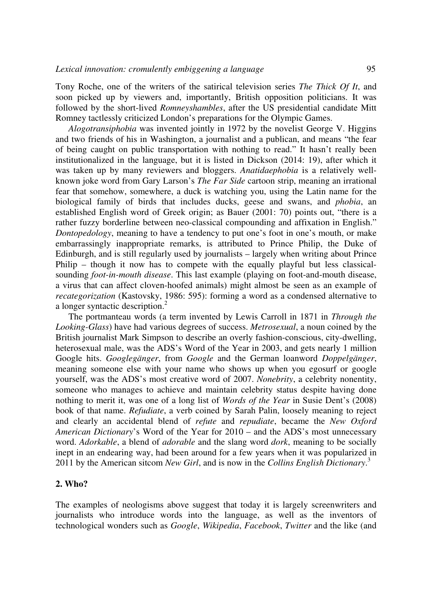Tony Roche, one of the writers of the satirical television series *The Thick Of It*, and soon picked up by viewers and, importantly, British opposition politicians. It was followed by the short-lived *Romneyshambles*, after the US presidential candidate Mitt Romney tactlessly criticized London's preparations for the Olympic Games.

*Alogotransiphobia* was invented jointly in 1972 by the novelist George V. Higgins and two friends of his in Washington, a journalist and a publican, and means "the fear of being caught on public transportation with nothing to read." It hasn't really been institutionalized in the language, but it is listed in Dickson (2014: 19), after which it was taken up by many reviewers and bloggers. *Anatidaephobia* is a relatively wellknown joke word from Gary Larson's *The Far Side* cartoon strip, meaning an irrational fear that somehow, somewhere, a duck is watching you, using the Latin name for the biological family of birds that includes ducks, geese and swans, and *phobia*, an established English word of Greek origin; as Bauer (2001: 70) points out, "there is a rather fuzzy borderline between neo-classical compounding and affixation in English." *Dontopedology*, meaning to have a tendency to put one's foot in one's mouth, or make embarrassingly inappropriate remarks, is attributed to Prince Philip, the Duke of Edinburgh, and is still regularly used by journalists – largely when writing about Prince Philip – though it now has to compete with the equally playful but less classicalsounding *foot-in-mouth disease*. This last example (playing on foot-and-mouth disease, a virus that can affect cloven-hoofed animals) might almost be seen as an example of *recategorization* (Kastovsky, 1986: 595): forming a word as a condensed alternative to a longer syntactic description.<sup>2</sup>

The portmanteau words (a term invented by Lewis Carroll in 1871 in *Through the Looking-Glass*) have had various degrees of success. *Metrosexual*, a noun coined by the British journalist Mark Simpson to describe an overly fashion-conscious, city-dwelling, heterosexual male, was the ADS's Word of the Year in 2003, and gets nearly 1 million Google hits. *Googlegänger*, from *Google* and the German loanword *Doppelgänger*, meaning someone else with your name who shows up when you egosurf or google yourself, was the ADS's most creative word of 2007. *Nonebrity*, a celebrity nonentity, someone who manages to achieve and maintain celebrity status despite having done nothing to merit it, was one of a long list of *Words of the Year* in Susie Dent's (2008) book of that name. *Refudiate*, a verb coined by Sarah Palin, loosely meaning to reject and clearly an accidental blend of *refute* and *repudiate*, became the *New Oxford American Dictionary*'s Word of the Year for 2010 – and the ADS's most unnecessary word. *Adorkable*, a blend of *adorable* and the slang word *dork*, meaning to be socially inept in an endearing way, had been around for a few years when it was popularized in 2011 by the American sitcom *New Girl*, and is now in the *Collins English Dictionary*. 3

### **2. Who?**

The examples of neologisms above suggest that today it is largely screenwriters and journalists who introduce words into the language, as well as the inventors of technological wonders such as *Google*, *Wikipedia*, *Facebook*, *Twitter* and the like (and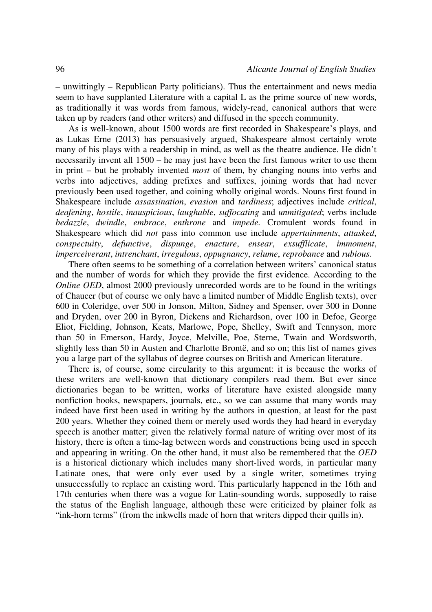– unwittingly – Republican Party politicians). Thus the entertainment and news media seem to have supplanted Literature with a capital L as the prime source of new words, as traditionally it was words from famous, widely-read, canonical authors that were taken up by readers (and other writers) and diffused in the speech community.

As is well-known, about 1500 words are first recorded in Shakespeare's plays, and as Lukas Erne (2013) has persuasively argued, Shakespeare almost certainly wrote many of his plays with a readership in mind, as well as the theatre audience. He didn't necessarily invent all 1500 – he may just have been the first famous writer to use them in print – but he probably invented *most* of them, by changing nouns into verbs and verbs into adjectives, adding prefixes and suffixes, joining words that had never previously been used together, and coining wholly original words. Nouns first found in Shakespeare include *assassination*, *evasion* and *tardiness*; adjectives include *critical*, *deafening*, *hostile*, *inauspicious*, *laughable*, *suffocating* and *unmitigated*; verbs include *bedazzle*, *dwindle*, *embrace*, *enthrone* and *impede.* Cromulent words found in Shakespeare which did *not* pass into common use include *appertainments*, *attasked*, *conspectuity*, *defunctive*, *dispunge*, *enacture*, *ensear*, *exsufflicate*, *immoment*, *imperceiverant*, *intrenchant*, *irregulous*, *oppugnancy*, *relume*, *reprobance* and *rubious*.

There often seems to be something of a correlation between writers' canonical status and the number of words for which they provide the first evidence. According to the *Online OED*, almost 2000 previously unrecorded words are to be found in the writings of Chaucer (but of course we only have a limited number of Middle English texts), over 600 in Coleridge, over 500 in Jonson, Milton, Sidney and Spenser, over 300 in Donne and Dryden, over 200 in Byron, Dickens and Richardson, over 100 in Defoe, George Eliot, Fielding, Johnson, Keats, Marlowe, Pope, Shelley, Swift and Tennyson, more than 50 in Emerson, Hardy, Joyce, Melville, Poe, Sterne, Twain and Wordsworth, slightly less than 50 in Austen and Charlotte Brontë, and so on; this list of names gives you a large part of the syllabus of degree courses on British and American literature.

There is, of course, some circularity to this argument: it is because the works of these writers are well-known that dictionary compilers read them. But ever since dictionaries began to be written, works of literature have existed alongside many nonfiction books, newspapers, journals, etc., so we can assume that many words may indeed have first been used in writing by the authors in question, at least for the past 200 years. Whether they coined them or merely used words they had heard in everyday speech is another matter; given the relatively formal nature of writing over most of its history, there is often a time-lag between words and constructions being used in speech and appearing in writing. On the other hand, it must also be remembered that the *OED* is a historical dictionary which includes many short-lived words, in particular many Latinate ones, that were only ever used by a single writer, sometimes trying unsuccessfully to replace an existing word. This particularly happened in the 16th and 17th centuries when there was a vogue for Latin-sounding words, supposedly to raise the status of the English language, although these were criticized by plainer folk as "ink-horn terms" (from the inkwells made of horn that writers dipped their quills in).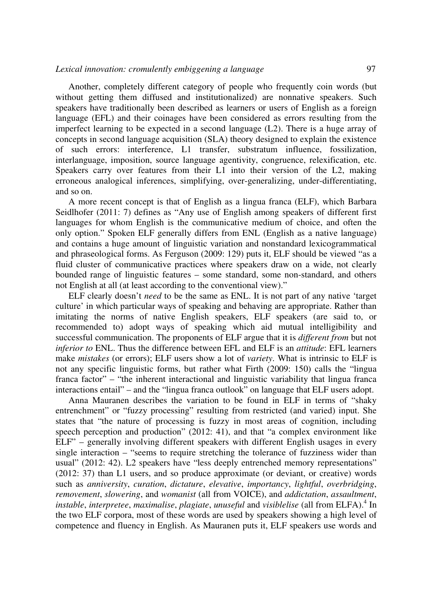Another, completely different category of people who frequently coin words (but without getting them diffused and institutionalized) are nonnative speakers. Such speakers have traditionally been described as learners or users of English as a foreign language (EFL) and their coinages have been considered as errors resulting from the imperfect learning to be expected in a second language (L2). There is a huge array of concepts in second language acquisition (SLA) theory designed to explain the existence of such errors: interference, L1 transfer, substratum influence, fossilization, interlanguage, imposition, source language agentivity, congruence, relexification, etc. Speakers carry over features from their L1 into their version of the L2, making erroneous analogical inferences, simplifying, over-generalizing, under-differentiating, and so on.

A more recent concept is that of English as a lingua franca (ELF), which Barbara Seidlhofer (2011: 7) defines as "Any use of English among speakers of different first languages for whom English is the communicative medium of choice, and often the only option." Spoken ELF generally differs from ENL (English as a native language) and contains a huge amount of linguistic variation and nonstandard lexicogrammatical and phraseological forms. As Ferguson (2009: 129) puts it, ELF should be viewed "as a fluid cluster of communicative practices where speakers draw on a wide, not clearly bounded range of linguistic features – some standard, some non-standard, and others not English at all (at least according to the conventional view)."

ELF clearly doesn't *need* to be the same as ENL. It is not part of any native 'target culture' in which particular ways of speaking and behaving are appropriate. Rather than imitating the norms of native English speakers, ELF speakers (are said to, or recommended to) adopt ways of speaking which aid mutual intelligibility and successful communication. The proponents of ELF argue that it is *different from* but not *inferior to* ENL. Thus the difference between EFL and ELF is an *attitude*: EFL learners make *mistakes* (or errors); ELF users show a lot of *variety*. What is intrinsic to ELF is not any specific linguistic forms, but rather what Firth (2009: 150) calls the "lingua franca factor" – "the inherent interactional and linguistic variability that lingua franca interactions entail" – and the "lingua franca outlook" on language that ELF users adopt.

Anna Mauranen describes the variation to be found in ELF in terms of "shaky entrenchment" or "fuzzy processing" resulting from restricted (and varied) input. She states that "the nature of processing is fuzzy in most areas of cognition, including speech perception and production" (2012: 41), and that "a complex environment like ELF" – generally involving different speakers with different English usages in every single interaction – "seems to require stretching the tolerance of fuzziness wider than usual" (2012: 42). L2 speakers have "less deeply entrenched memory representations" (2012: 37) than L1 users, and so produce approximate (or deviant, or creative) words such as *anniversity*, *curation*, *dictature*, *elevative*, *importancy*, *lightful*, *overbridging*, *removement*, *slowering*, and *womanist* (all from VOICE), and *addictation*, *assaultment*, *instable, interpretee, maximalise, plagiate, unuseful and <i>visiblelise* (all from ELFA).<sup>4</sup> In the two ELF corpora, most of these words are used by speakers showing a high level of competence and fluency in English. As Mauranen puts it, ELF speakers use words and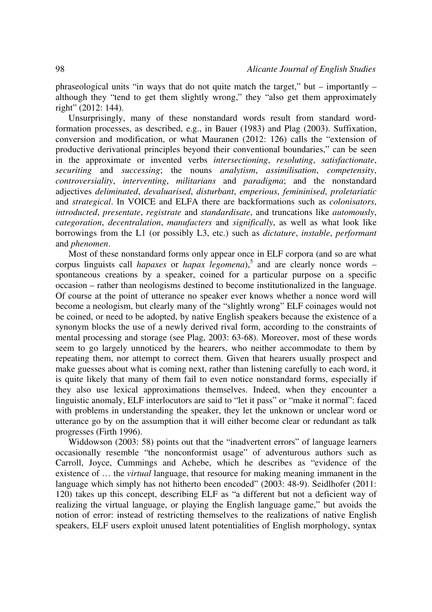phraseological units "in ways that do not quite match the target," but – importantly – although they "tend to get them slightly wrong," they "also get them approximately right" (2012: 144).

Unsurprisingly, many of these nonstandard words result from standard wordformation processes, as described, e.g., in Bauer (1983) and Plag (2003). Suffixation, conversion and modification, or what Mauranen (2012: 126) calls the "extension of productive derivational principles beyond their conventional boundaries," can be seen in the approximate or invented verbs *intersectioning*, *resoluting*, *satisfactionate*, *securiting* and *successing*; the nouns *analytism*, *assimilisation*, *competensity*, *controversiality*, *interventing*, *militarians* and *paradigma*; and the nonstandard adjectives *deliminated*, *devaluarised*, *disturbant*, *emperious*, *femininised*, *proletariatic* and *strategical*. In VOICE and ELFA there are backformations such as *colonisators*, *introducted*, *presentate*, *registrate* and *standardisate*, and truncations like *automously*, *categoration*, *decentralation*, *manufacters* and *significally*, as well as what look like borrowings from the L1 (or possibly L3, etc.) such as *dictature*, *instable*, *performant* and *phenomen*.

Most of these nonstandard forms only appear once in ELF corpora (and so are what corpus linguists call *hapaxes* or *hapax legomena*),<sup>5</sup> and are clearly nonce words – spontaneous creations by a speaker, coined for a particular purpose on a specific occasion – rather than neologisms destined to become institutionalized in the language. Of course at the point of utterance no speaker ever knows whether a nonce word will become a neologism, but clearly many of the "slightly wrong" ELF coinages would not be coined, or need to be adopted, by native English speakers because the existence of a synonym blocks the use of a newly derived rival form, according to the constraints of mental processing and storage (see Plag, 2003: 63-68). Moreover, most of these words seem to go largely unnoticed by the hearers, who neither accommodate to them by repeating them, nor attempt to correct them. Given that hearers usually prospect and make guesses about what is coming next, rather than listening carefully to each word, it is quite likely that many of them fail to even notice nonstandard forms, especially if they also use lexical approximations themselves. Indeed, when they encounter a linguistic anomaly, ELF interlocutors are said to "let it pass" or "make it normal": faced with problems in understanding the speaker, they let the unknown or unclear word or utterance go by on the assumption that it will either become clear or redundant as talk progresses (Firth 1996).

Widdowson (2003: 58) points out that the "inadvertent errors" of language learners occasionally resemble "the nonconformist usage" of adventurous authors such as Carroll, Joyce, Cummings and Achebe, which he describes as "evidence of the existence of … the *virtual* language, that resource for making meaning immanent in the language which simply has not hitherto been encoded" (2003: 48-9). Seidlhofer (2011: 120) takes up this concept, describing ELF as "a different but not a deficient way of realizing the virtual language, or playing the English language game," but avoids the notion of error: instead of restricting themselves to the realizations of native English speakers, ELF users exploit unused latent potentialities of English morphology, syntax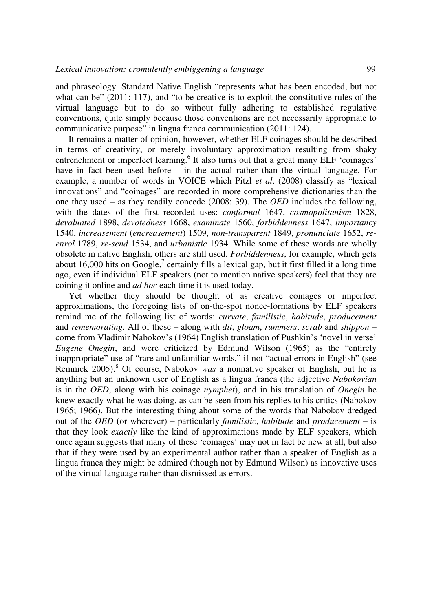and phraseology. Standard Native English "represents what has been encoded, but not what can be" (2011: 117), and "to be creative is to exploit the constitutive rules of the virtual language but to do so without fully adhering to established regulative conventions, quite simply because those conventions are not necessarily appropriate to communicative purpose" in lingua franca communication (2011: 124).

It remains a matter of opinion, however, whether ELF coinages should be described in terms of creativity, or merely involuntary approximation resulting from shaky entrenchment or imperfect learning.<sup>6</sup> It also turns out that a great many ELF 'coinages' have in fact been used before – in the actual rather than the virtual language. For example, a number of words in VOICE which Pitzl *et al*. (2008) classify as "lexical innovations" and "coinages" are recorded in more comprehensive dictionaries than the one they used – as they readily concede (2008: 39). The *OED* includes the following, with the dates of the first recorded uses: *conformal* 1647, *cosmopolitanism* 1828, *devaluated* 1898, *devotedness* 1668, *examinate* 1560, *forbiddenness* 1647, *importancy* 1540, *increasement* (*encreasement*) 1509, *non*-*transparent* 1849, *pronunciate* 1652, *reenrol* 1789, *re-send* 1534, and *urbanistic* 1934. While some of these words are wholly obsolete in native English, others are still used. *Forbiddenness*, for example, which gets about 16,000 hits on Google,<sup>7</sup> certainly fills a lexical gap, but it first filled it a long time ago, even if individual ELF speakers (not to mention native speakers) feel that they are coining it online and *ad hoc* each time it is used today.

Yet whether they should be thought of as creative coinages or imperfect approximations, the foregoing lists of on-the-spot nonce-formations by ELF speakers remind me of the following list of words: *curvate*, *familistic*, *habitude*, *producement* and *rememorating*. All of these – along with *dit*, *gloam*, *rummers*, *scrab* and *shippon* – come from Vladimir Nabokov's (1964) English translation of Pushkin's 'novel in verse' *Eugene Onegin*, and were criticized by Edmund Wilson (1965) as the "entirely inappropriate" use of "rare and unfamiliar words," if not "actual errors in English" (see Remnick 2005).<sup>8</sup> Of course, Nabokov *was* a nonnative speaker of English, but he is anything but an unknown user of English as a lingua franca (the adjective *Nabokovian*  is in the *OED*, along with his coinage *nymphet*), and in his translation of *Onegin* he knew exactly what he was doing, as can be seen from his replies to his critics (Nabokov 1965; 1966). But the interesting thing about some of the words that Nabokov dredged out of the *OED* (or wherever) – particularly *familistic*, *habitude* and *producement* – is that they look *exactly* like the kind of approximations made by ELF speakers, which once again suggests that many of these 'coinages' may not in fact be new at all, but also that if they were used by an experimental author rather than a speaker of English as a lingua franca they might be admired (though not by Edmund Wilson) as innovative uses of the virtual language rather than dismissed as errors.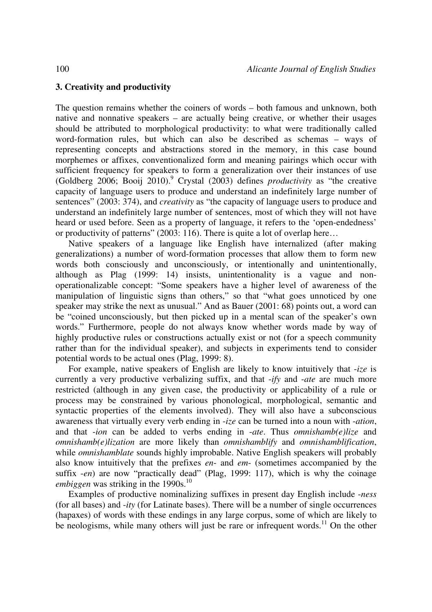# **3. Creativity and productivity**

The question remains whether the coiners of words – both famous and unknown, both native and nonnative speakers – are actually being creative, or whether their usages should be attributed to morphological productivity: to what were traditionally called word-formation rules, but which can also be described as schemas – ways of representing concepts and abstractions stored in the memory, in this case bound morphemes or affixes, conventionalized form and meaning pairings which occur with sufficient frequency for speakers to form a generalization over their instances of use (Goldberg 2006; Booij 2010).<sup>9</sup> Crystal (2003) defines *productivity* as "the creative capacity of language users to produce and understand an indefinitely large number of sentences" (2003: 374), and *creativity* as "the capacity of language users to produce and understand an indefinitely large number of sentences, most of which they will not have heard or used before. Seen as a property of language, it refers to the 'open-endedness' or productivity of patterns" (2003: 116). There is quite a lot of overlap here…

Native speakers of a language like English have internalized (after making generalizations) a number of word-formation processes that allow them to form new words both consciously and unconsciously, or intentionally and unintentionally, although as Plag (1999: 14) insists, unintentionality is a vague and nonoperationalizable concept: "Some speakers have a higher level of awareness of the manipulation of linguistic signs than others," so that "what goes unnoticed by one speaker may strike the next as unusual." And as Bauer (2001: 68) points out, a word can be "coined unconsciously, but then picked up in a mental scan of the speaker's own words." Furthermore, people do not always know whether words made by way of highly productive rules or constructions actually exist or not (for a speech community rather than for the individual speaker), and subjects in experiments tend to consider potential words to be actual ones (Plag, 1999: 8).

For example, native speakers of English are likely to know intuitively that -*ize* is currently a very productive verbalizing suffix, and that -*ify* and -*ate* are much more restricted (although in any given case, the productivity or applicability of a rule or process may be constrained by various phonological, morphological, semantic and syntactic properties of the elements involved). They will also have a subconscious awareness that virtually every verb ending in -*ize* can be turned into a noun with -*ation*, and that -*ion* can be added to verbs ending in -*ate*. Thus *omnishamb(e)lize* and *omnishamb(e)lization* are more likely than *omnishamblify* and *omnishamblification*, while *omnishamblate* sounds highly improbable. Native English speakers will probably also know intuitively that the prefixes *en*- and *em*- (sometimes accompanied by the suffix -*en*) are now "practically dead" (Plag, 1999: 117), which is why the coinage *embiggen* was striking in the  $1990s$ .<sup>10</sup>

Examples of productive nominalizing suffixes in present day English include -*ness* (for all bases) and -*ity* (for Latinate bases). There will be a number of single occurrences (hapaxes) of words with these endings in any large corpus, some of which are likely to be neologisms, while many others will just be rare or infrequent words.<sup>11</sup> On the other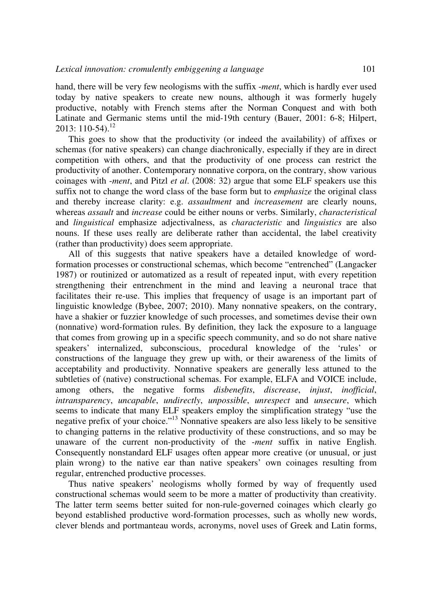hand, there will be very few neologisms with the suffix -*ment*, which is hardly ever used today by native speakers to create new nouns, although it was formerly hugely productive, notably with French stems after the Norman Conquest and with both Latinate and Germanic stems until the mid-19th century (Bauer, 2001: 6-8; Hilpert, 2013: 110-54).<sup>12</sup>

This goes to show that the productivity (or indeed the availability) of affixes or schemas (for native speakers) can change diachronically, especially if they are in direct competition with others, and that the productivity of one process can restrict the productivity of another. Contemporary nonnative corpora, on the contrary, show various coinages with -*ment*, and Pitzl *et al*. (2008: 32) argue that some ELF speakers use this suffix not to change the word class of the base form but to *emphasize* the original class and thereby increase clarity: e.g. *assaultment* and *increasement* are clearly nouns, whereas *assault* and *increase* could be either nouns or verbs. Similarly, *characteristical* and *linguistical* emphasize adjectivalness, as *characteristic* and *linguistics* are also nouns. If these uses really are deliberate rather than accidental, the label creativity (rather than productivity) does seem appropriate.

All of this suggests that native speakers have a detailed knowledge of wordformation processes or constructional schemas, which become "entrenched" (Langacker 1987) or routinized or automatized as a result of repeated input, with every repetition strengthening their entrenchment in the mind and leaving a neuronal trace that facilitates their re-use. This implies that frequency of usage is an important part of linguistic knowledge (Bybee, 2007; 2010). Many nonnative speakers, on the contrary, have a shakier or fuzzier knowledge of such processes, and sometimes devise their own (nonnative) word-formation rules. By definition, they lack the exposure to a language that comes from growing up in a specific speech community, and so do not share native speakers' internalized, subconscious, procedural knowledge of the 'rules' or constructions of the language they grew up with, or their awareness of the limits of acceptability and productivity. Nonnative speakers are generally less attuned to the subtleties of (native) constructional schemas. For example, ELFA and VOICE include, among others, the negative forms *disbenefits*, *discrease*, *injust*, *inofficial*, *intransparency*, *uncapable*, *undirectly*, *unpossible*, *unrespect* and *unsecure*, which seems to indicate that many ELF speakers employ the simplification strategy "use the negative prefix of your choice."<sup>13</sup> Nonnative speakers are also less likely to be sensitive to changing patterns in the relative productivity of these constructions, and so may be unaware of the current non-productivity of the -*ment* suffix in native English. Consequently nonstandard ELF usages often appear more creative (or unusual, or just plain wrong) to the native ear than native speakers' own coinages resulting from regular, entrenched productive processes.

Thus native speakers' neologisms wholly formed by way of frequently used constructional schemas would seem to be more a matter of productivity than creativity. The latter term seems better suited for non-rule-governed coinages which clearly go beyond established productive word-formation processes, such as wholly new words, clever blends and portmanteau words, acronyms, novel uses of Greek and Latin forms,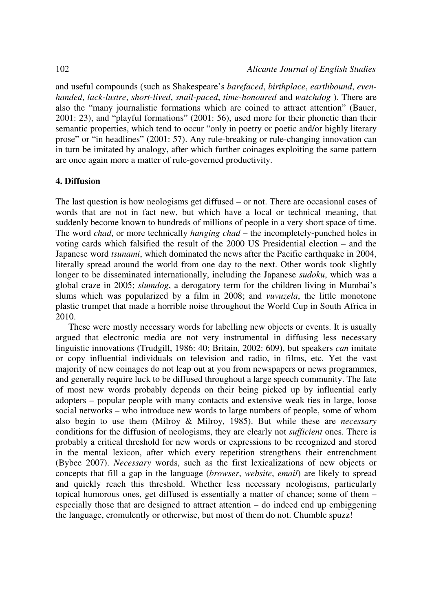and useful compounds (such as Shakespeare's *barefaced*, *birthplace*, *earthbound*, *evenhanded*, *lack-lustre*, *short*-*lived*, *snail*-*paced*, *time*-*honoured* and *watchdog* ). There are also the "many journalistic formations which are coined to attract attention" (Bauer, 2001: 23), and "playful formations" (2001: 56), used more for their phonetic than their semantic properties, which tend to occur "only in poetry or poetic and/or highly literary prose" or "in headlines" (2001: 57). Any rule-breaking or rule-changing innovation can in turn be imitated by analogy, after which further coinages exploiting the same pattern are once again more a matter of rule-governed productivity.

#### **4. Diffusion**

The last question is how neologisms get diffused – or not. There are occasional cases of words that are not in fact new, but which have a local or technical meaning, that suddenly become known to hundreds of millions of people in a very short space of time. The word *chad*, or more technically *hanging chad* – the incompletely-punched holes in voting cards which falsified the result of the 2000 US Presidential election – and the Japanese word *tsunami*, which dominated the news after the Pacific earthquake in 2004, literally spread around the world from one day to the next. Other words took slightly longer to be disseminated internationally, including the Japanese *sudoku*, which was a global craze in 2005; *slumdog*, a derogatory term for the children living in Mumbai's slums which was popularized by a film in 2008; and *vuvuzela*, the little monotone plastic trumpet that made a horrible noise throughout the World Cup in South Africa in 2010.

These were mostly necessary words for labelling new objects or events. It is usually argued that electronic media are not very instrumental in diffusing less necessary linguistic innovations (Trudgill, 1986: 40; Britain, 2002: 609), but speakers *can* imitate or copy influential individuals on television and radio, in films, etc. Yet the vast majority of new coinages do not leap out at you from newspapers or news programmes, and generally require luck to be diffused throughout a large speech community. The fate of most new words probably depends on their being picked up by influential early adopters – popular people with many contacts and extensive weak ties in large, loose social networks – who introduce new words to large numbers of people, some of whom also begin to use them (Milroy & Milroy, 1985). But while these are *necessary* conditions for the diffusion of neologisms, they are clearly not *sufficient* ones. There is probably a critical threshold for new words or expressions to be recognized and stored in the mental lexicon, after which every repetition strengthens their entrenchment (Bybee 2007). *Necessary* words, such as the first lexicalizations of new objects or concepts that fill a gap in the language (*browser*, *website*, *email*) are likely to spread and quickly reach this threshold. Whether less necessary neologisms, particularly topical humorous ones, get diffused is essentially a matter of chance; some of them – especially those that are designed to attract attention – do indeed end up embiggening the language, cromulently or otherwise, but most of them do not. Chumble spuzz!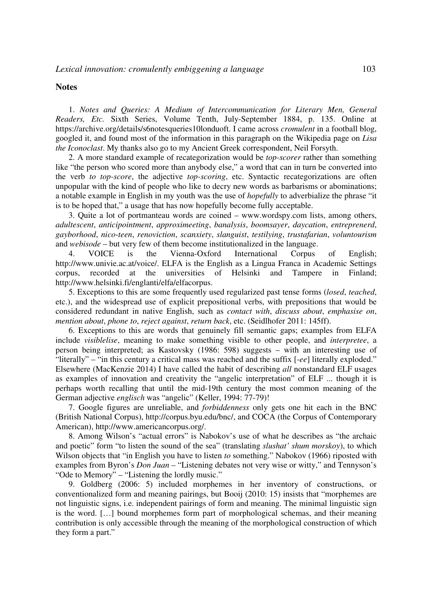#### **Notes**

1. *Notes and Queries: A Medium of Intercommunication for Literary Men, General Readers, Etc.* Sixth Series, Volume Tenth, July-September 1884, p. 135. Online at https://archive.org/details/s6notesqueries10londuoft. I came across *cromulent* in a football blog, googled it, and found most of the information in this paragraph on the Wikipedia page on *Lisa the Iconoclast*. My thanks also go to my Ancient Greek correspondent, Neil Forsyth.

2. A more standard example of recategorization would be *top-scorer* rather than something like "the person who scored more than anybody else," a word that can in turn be converted into the verb *to top-score*, the adjective *top-scoring*, etc. Syntactic recategorizations are often unpopular with the kind of people who like to decry new words as barbarisms or abominations; a notable example in English in my youth was the use of *hopefully* to adverbialize the phrase "it is to be hoped that," a usage that has now hopefully become fully acceptable.

3. Quite a lot of portmanteau words are coined – www.wordspy.com lists, among others, *adultescent*, *anticipointment*, *approximeeting*, *banalysis*, *boomsayer*, *daycation*, *entreprenerd*, *gayborhood*, *nico*-*teen*, *renoviction*, *scanxiety*, *slanguist*, *testilying*, *trustafarian*, *voluntourism* and *webisode* – but very few of them become institutionalized in the language.

4. VOICE is the Vienna-Oxford International Corpus of English; http://www.univie.ac.at/voice/. ELFA is the English as a Lingua Franca in Academic Settings corpus, recorded at the universities of Helsinki and Tampere in Finland; http://www.helsinki.fi/englanti/elfa/elfacorpus.

5. Exceptions to this are some frequently used regularized past tense forms (*losed*, *teached*, etc.), and the widespread use of explicit prepositional verbs, with prepositions that would be considered redundant in native English, such as *contact with*, *discuss about*, *emphasise on*, *mention about*, *phone to*, *reject against*, *return back*, etc. (Seidlhofer 2011: 145ff).

6. Exceptions to this are words that genuinely fill semantic gaps; examples from ELFA include *visiblelise*, meaning to make something visible to other people, and *interpretee*, a person being interpreted; as Kastovsky (1986: 598) suggests – with an interesting use of "literally" – "in this century a critical mass was reached and the suffix [-*ee*] literally exploded." Elsewhere (MacKenzie 2014) I have called the habit of describing *all* nonstandard ELF usages as examples of innovation and creativity the "angelic interpretation" of ELF ... though it is perhaps worth recalling that until the mid-19th century the most common meaning of the German adjective *englisch* was "angelic" (Keller, 1994: 77-79)!

7. Google figures are unreliable, and *forbiddenness* only gets one hit each in the BNC (British National Corpus), http://corpus.byu.edu/bnc/, and COCA (the Corpus of Contemporary American), http://www.americancorpus.org/.

8. Among Wilson's "actual errors" is Nabokov's use of what he describes as "the archaic and poetic" form "to listen the sound of the sea" (translating *slushat' shum morskoy*), to which Wilson objects that "in English you have to listen *to* something." Nabokov (1966) riposted with examples from Byron's *Don Juan* – "Listening debates not very wise or witty," and Tennyson's "Ode to Memory" – "Listening the lordly music."

9. Goldberg (2006: 5) included morphemes in her inventory of constructions, or conventionalized form and meaning pairings, but Booij (2010: 15) insists that "morphemes are not linguistic signs, i.e. independent pairings of form and meaning. The minimal linguistic sign is the word. […] bound morphemes form part of morphological schemas, and their meaning contribution is only accessible through the meaning of the morphological construction of which they form a part."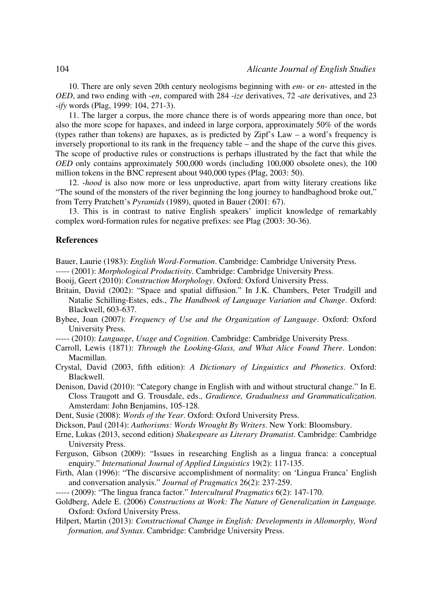10. There are only seven 20th century neologisms beginning with *em*- or *en*- attested in the *OED*, and two ending with -*en*, compared with 284 -*ize* derivatives, 72 -*ate* derivatives, and 23 -*ify* words (Plag, 1999: 104, 271-3).

11. The larger a corpus, the more chance there is of words appearing more than once, but also the more scope for hapaxes, and indeed in large corpora, approximately 50% of the words (types rather than tokens) are hapaxes, as is predicted by Zipf's Law – a word's frequency is inversely proportional to its rank in the frequency table – and the shape of the curve this gives. The scope of productive rules or constructions is perhaps illustrated by the fact that while the *OED* only contains approximately 500,000 words (including 100,000 obsolete ones), the 100 million tokens in the BNC represent about 940,000 types (Plag, 2003: 50).

12. -*hood* is also now more or less unproductive, apart from witty literary creations like "The sound of the monsters of the river beginning the long journey to handbaghood broke out," from Terry Pratchett's *Pyramids* (1989), quoted in Bauer (2001: 67).

13. This is in contrast to native English speakers' implicit knowledge of remarkably complex word-formation rules for negative prefixes: see Plag (2003: 30-36).

#### **References**

Bauer, Laurie (1983): *English Word-Formation*. Cambridge: Cambridge University Press.

- ----- (2001): *Morphological Productivity*. Cambridge: Cambridge University Press.
- Booij, Geert (2010): *Construction Morphology*. Oxford: Oxford University Press.
- Britain, David (2002): "Space and spatial diffusion." In J.K. Chambers, Peter Trudgill and Natalie Schilling-Estes, eds., *The Handbook of Language Variation and Change*. Oxford: Blackwell, 603-637.
- Bybee, Joan (2007): *Frequency of Use and the Organization of Language*. Oxford: Oxford University Press.
- ----- (2010): *Language*, *Usage and Cognition*. Cambridge: Cambridge University Press.
- Carroll, Lewis (1871): *Through the Looking-Glass, and What Alice Found There*. London: Macmillan.
- Crystal, David (2003, fifth edition): *A Dictionary of Linguistics and Phonetics*. Oxford: Blackwell.
- Denison, David (2010): "Category change in English with and without structural change." In E. Closs Traugott and G. Trousdale, eds., *Gradience, Gradualness and Grammaticalization*. Amsterdam: John Benjamins, 105-128.

Dent, Susie (2008): *Words of the Year*. Oxford: Oxford University Press.

Dickson, Paul (2014): *Authorisms: Words Wrought By Writers*. New York: Bloomsbury.

- Erne, Lukas (2013, second edition) *Shakespeare as Literary Dramatist*. Cambridge: Cambridge University Press.
- Ferguson, Gibson (2009): "Issues in researching English as a lingua franca: a conceptual enquiry." *International Journal of Applied Linguistics* 19(2): 117-135.
- Firth, Alan (1996): "The discursive accomplishment of normality: on 'Lingua Franca' English and conversation analysis." *Journal of Pragmatics* 26(2): 237-259.

----- (2009): "The lingua franca factor." *Intercultural Pragmatics* 6(2): 147-170.

- Goldberg, Adele E. (2006) *Constructions at Work: The Nature of Generalization in Language.*  Oxford: Oxford University Press.
- Hilpert, Martin (2013): *Constructional Change in English: Developments in Allomorphy, Word formation, and Syntax*. Cambridge: Cambridge University Press.